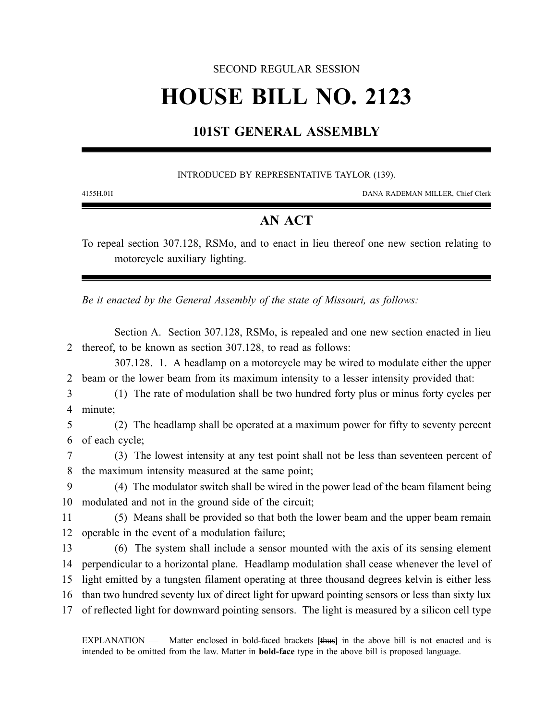#### SECOND REGULAR SESSION

# **HOUSE BILL NO. 2123**

## **101ST GENERAL ASSEMBLY**

#### INTRODUCED BY REPRESENTATIVE TAYLOR (139).

4155H.01I DANA RADEMAN MILLER, Chief Clerk

### **AN ACT**

To repeal section 307.128, RSMo, and to enact in lieu thereof one new section relating to motorcycle auxiliary lighting.

*Be it enacted by the General Assembly of the state of Missouri, as follows:*

Section A. Section 307.128, RSMo, is repealed and one new section enacted in lieu 2 thereof, to be known as section 307.128, to read as follows:

307.128. 1. A headlamp on a motorcycle may be wired to modulate either the upper 2 beam or the lower beam from its maximum intensity to a lesser intensity provided that:

3 (1) The rate of modulation shall be two hundred forty plus or minus forty cycles per 4 minute;

5 (2) The headlamp shall be operated at a maximum power for fifty to seventy percent 6 of each cycle;

7 (3) The lowest intensity at any test point shall not be less than seventeen percent of 8 the maximum intensity measured at the same point;

9 (4) The modulator switch shall be wired in the power lead of the beam filament being 10 modulated and not in the ground side of the circuit;

11 (5) Means shall be provided so that both the lower beam and the upper beam remain 12 operable in the event of a modulation failure;

 (6) The system shall include a sensor mounted with the axis of its sensing element perpendicular to a horizontal plane. Headlamp modulation shall cease whenever the level of light emitted by a tungsten filament operating at three thousand degrees kelvin is either less than two hundred seventy lux of direct light for upward pointing sensors or less than sixty lux of reflected light for downward pointing sensors. The light is measured by a silicon cell type

EXPLANATION — Matter enclosed in bold-faced brackets **[**thus**]** in the above bill is not enacted and is intended to be omitted from the law. Matter in **bold-face** type in the above bill is proposed language.